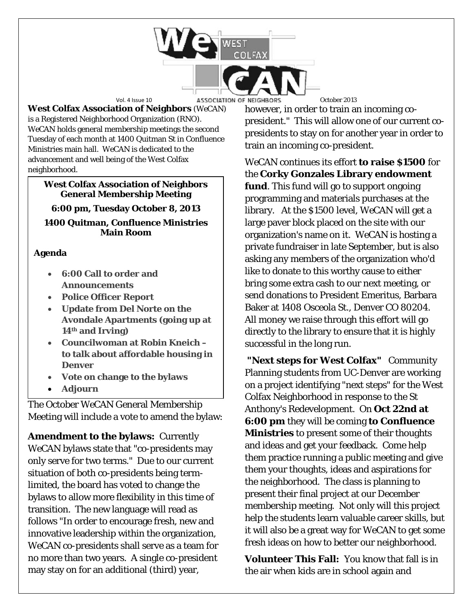

**West Colfax Association of Neighbors** (*WeCAN*) is a Registered Neighborhood Organization (RNO). *WeCAN* holds general membership meetings the second Tuesday of each month at 1400 Quitman St in Confluence Ministries main hall. *WeCAN* is dedicated to the advancement and well being of the West Colfax neighborhood.

#### **West Colfax Association of Neighbors General Membership Meeting**

**6:00 pm, Tuesday October 8, 2013**

**1400 Quitman, Confluence Ministries Main Room**

# **Agenda**

- **6:00 Call to order and Announcements**
- **Police Officer Report**
- **Update from Del Norte on the Avondale Apartments (going up at 14th and Irving)**
- **Councilwoman at Robin Kneich – to talk about affordable housing in Denver**
- **Vote on change to the bylaws**
- **Adjourn**

The October *WeCAN* General Membership Meeting will include a vote to amend the bylaw:

**Amendment to the bylaws:** Currently *WeCAN* bylaws state that "co-presidents may only serve for two terms." Due to our current situation of both co-presidents being termlimited, the board has voted to change the bylaws to allow more flexibility in this time of transition. The new language will read as follows "In order to encourage fresh, new and innovative leadership within the organization, *WeCAN* co-presidents shall serve as a team for no more than two years. A single co-president may stay on for an additional (third) year,

however, in order to train an incoming copresident." This will allow one of our current copresidents to stay on for another year in order to train an incoming co-president.

*WeCAN* continues its effort **to raise \$1500** for the **Corky Gonzales Library endowment fund**. This fund will go to support ongoing programming and materials purchases at the library. At the \$1500 level, *WeCAN* will get a large paver block placed on the site with our organization's name on it. *WeCAN* is hosting a private fundraiser in late September, but is also asking any members of the organization who'd like to donate to this worthy cause to either bring some extra cash to our next meeting, or send donations to President Emeritus, Barbara Baker at 1408 Osceola St., Denver CO 80204. All money we raise through this effort will go directly to the library to ensure that it is highly successful in the long run.

**"Next steps for West Colfax"** Community Planning students from UC-Denver are working on a project identifying "next steps" for the West Colfax Neighborhood in response to the St Anthony's Redevelopment. On **Oct 22nd at 6:00 pm** they will be coming **to Confluence Ministries** to present some of their thoughts and ideas and get your feedback. Come help them practice running a public meeting and give them your thoughts, ideas and aspirations for the neighborhood. The class is planning to present their final project at our December membership meeting. Not only will this project help the students learn valuable career skills, but it will also be a great way for WeCAN to get some fresh ideas on how to better our neighborhood.

**Volunteer This Fall:** You know that fall is in the air when kids are in school again and